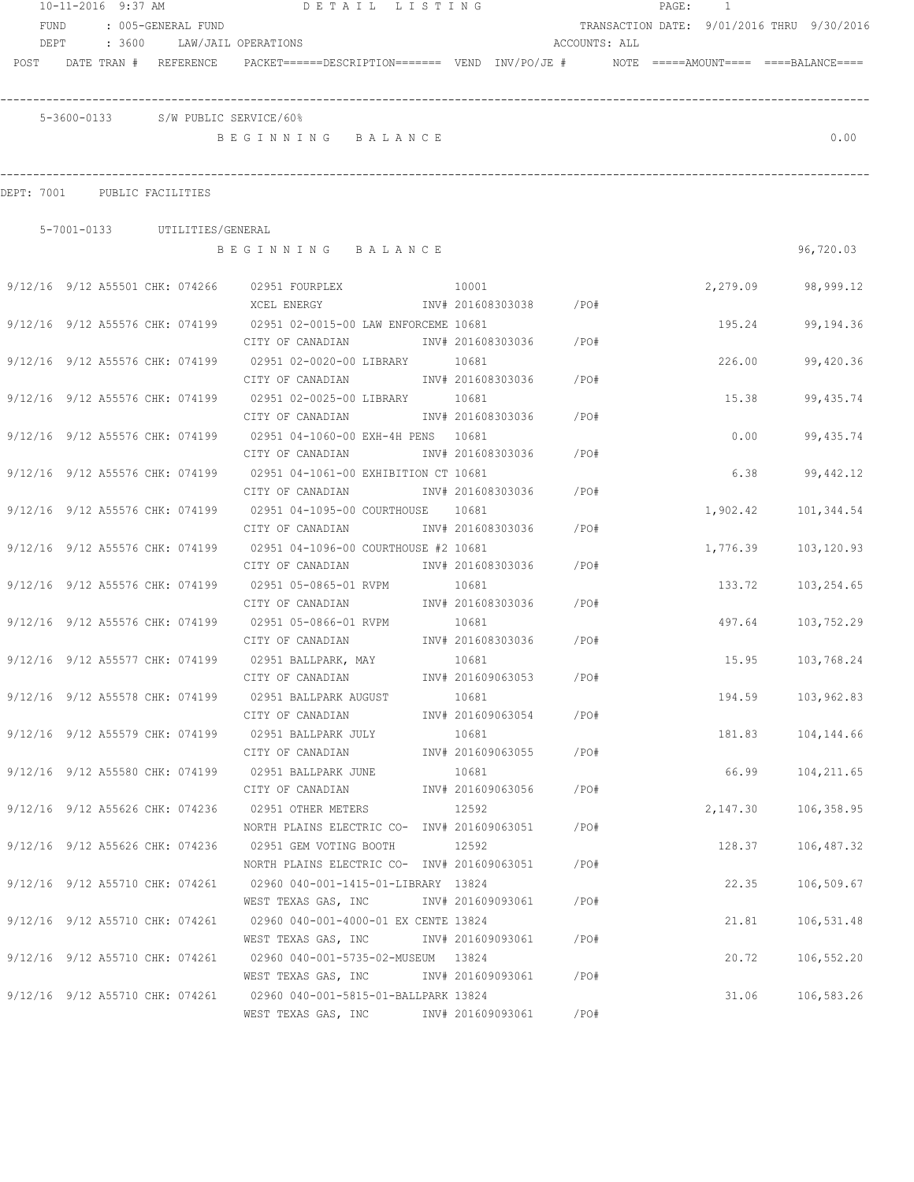|                                 | 10-11-2016 9:37 AM |  |                               | DETAIL LISTING                                                                          |                   |                         |               | PAGE: 1 |          |                                            |
|---------------------------------|--------------------|--|-------------------------------|-----------------------------------------------------------------------------------------|-------------------|-------------------------|---------------|---------|----------|--------------------------------------------|
| FUND                            |                    |  | : 005-GENERAL FUND            |                                                                                         |                   |                         |               |         |          | TRANSACTION DATE: 9/01/2016 THRU 9/30/2016 |
| DEPT                            |                    |  |                               | : 3600 LAW/JAIL OPERATIONS                                                              |                   |                         | ACCOUNTS: ALL |         |          |                                            |
| POST DATE TRAN # REFERENCE      |                    |  |                               | PACKET======DESCRIPTION======= VEND INV/PO/JE #    NOTE =====AMOUNT==== ====BALANCE==== |                   |                         |               |         |          |                                            |
|                                 |                    |  |                               |                                                                                         |                   |                         |               |         |          |                                            |
|                                 |                    |  |                               | 5-3600-0133 S/W PUBLIC SERVICE/60%                                                      |                   |                         |               |         |          |                                            |
|                                 |                    |  |                               | BEGINNING BALANCE                                                                       |                   |                         |               |         |          | 0.00                                       |
|                                 |                    |  |                               |                                                                                         |                   |                         |               |         |          |                                            |
|                                 |                    |  |                               |                                                                                         |                   |                         |               |         |          |                                            |
| DEPT: 7001 PUBLIC FACILITIES    |                    |  |                               |                                                                                         |                   |                         |               |         |          |                                            |
|                                 |                    |  | 5-7001-0133 UTILITIES/GENERAL |                                                                                         |                   |                         |               |         |          |                                            |
|                                 |                    |  |                               | BEGINNING BALANCE                                                                       |                   |                         |               |         |          | 96,720.03                                  |
|                                 |                    |  |                               |                                                                                         |                   |                         |               |         |          |                                            |
|                                 |                    |  |                               | 9/12/16 9/12 A55501 CHK: 074266 02951 FOURPLEX<br>10001                                 |                   |                         |               |         |          | 2,279.09 98,999.12                         |
|                                 |                    |  |                               |                                                                                         |                   |                         |               |         |          |                                            |
|                                 |                    |  |                               | 9/12/16 9/12 A55576 CHK: 074199 02951 02-0015-00 LAW ENFORCEME 10681                    |                   |                         |               |         | 195.24   | 99,194.36                                  |
|                                 |                    |  |                               |                                                                                         |                   |                         |               |         |          |                                            |
|                                 |                    |  |                               | 9/12/16 9/12 A55576 CHK: 074199 02951 02-0020-00 LIBRARY 10681                          |                   |                         |               |         | 226.00   | 99,420.36                                  |
|                                 |                    |  |                               | CITY OF CANADIAN 1NV# 201608303036 / PO#                                                |                   |                         |               |         |          |                                            |
|                                 |                    |  |                               | 9/12/16 9/12 A55576 CHK: 074199 02951 02-0025-00 LIBRARY 10681                          |                   |                         |               |         | 15.38    | 99, 435.74                                 |
|                                 |                    |  |                               | CITY OF CANADIAN                                                                        |                   | INV# 201608303036       | $/$ PO#       |         |          |                                            |
|                                 |                    |  |                               | 9/12/16 9/12 A55576 CHK: 074199 02951 04-1060-00 EXH-4H PENS 10681                      |                   |                         |               |         | 0.00     | 99,435.74                                  |
|                                 |                    |  |                               | CITY OF CANADIAN                                                                        | INV# 201608303036 |                         | /PO#          |         |          |                                            |
| 9/12/16 9/12 A55576 CHK: 074199 |                    |  |                               | 02951 04-1061-00 EXHIBITION CT 10681                                                    |                   |                         |               |         | 6.38     | 99,442.12                                  |
|                                 |                    |  |                               | CITY OF CANADIAN                                                                        | INV# 201608303036 |                         | /PO#          |         |          |                                            |
|                                 |                    |  |                               | 9/12/16 9/12 A55576 CHK: 074199 02951 04-1095-00 COURTHOUSE 10681                       |                   |                         |               |         | 1,902.42 | 101,344.54                                 |
|                                 |                    |  |                               | CITY OF CANADIAN                                                                        | INV# 201608303036 |                         | /PO#          |         |          |                                            |
|                                 |                    |  |                               | $9/12/16$ $9/12$ A55576 CHK: 074199 02951 04-1096-00 COURTHOUSE #2 10681                |                   |                         |               |         | 1,776.39 | 103,120.93                                 |
|                                 |                    |  |                               | CITY OF CANADIAN                                                                        | INV# 201608303036 |                         | / PO#         |         |          |                                            |
| 9/12/16 9/12 A55576 CHK: 074199 |                    |  |                               | 02951 05-0865-01 RVPM<br>CITY OF CANADIAN                                               | 10681             | INV# 201608303036 /PO#  |               |         |          | 133.72 103,254.65                          |
|                                 |                    |  |                               | 9/12/16 9/12 A55576 CHK: 074199 02951 05-0866-01 RVPM                                   | 10681             |                         |               |         |          |                                            |
|                                 |                    |  |                               | CITY OF CANADIAN                                                                        |                   | INV# 201608303036 / PO# |               |         | 497.64   | 103,752.29                                 |
| 9/12/16 9/12 A55577 CHK: 074199 |                    |  |                               | 02951 BALLPARK, MAY                                                                     | 10681             |                         |               |         | 15.95    | 103,768.24                                 |
|                                 |                    |  |                               | CITY OF CANADIAN                                                                        |                   | INV# 201609063053       | /PO#          |         |          |                                            |
|                                 |                    |  |                               | 9/12/16 9/12 A55578 CHK: 074199 02951 BALLPARK AUGUST                                   | 10681             |                         |               |         |          | 194.59 103,962.83                          |
|                                 |                    |  |                               | CITY OF CANADIAN                                                                        |                   | INV# 201609063054 /PO#  |               |         |          |                                            |
|                                 |                    |  |                               | 9/12/16 9/12 A55579 CHK: 074199 02951 BALLPARK JULY                                     | 10681             |                         |               |         |          | 181.83 104,144.66                          |
|                                 |                    |  |                               | CITY OF CANADIAN                                                                        |                   | INV# 201609063055 /PO#  |               |         |          |                                            |
|                                 |                    |  |                               | 9/12/16 9/12 A55580 CHK: 074199 02951 BALLPARK JUNE                                     | 10681             |                         |               |         | 66.99    | 104,211.65                                 |
|                                 |                    |  |                               | CITY OF CANADIAN                                                                        |                   | INV# 201609063056 /PO#  |               |         |          |                                            |
|                                 |                    |  |                               | 9/12/16 9/12 A55626 CHK: 074236 02951 OTHER METERS                                      | 12592             |                         |               |         | 2,147.30 | 106,358.95                                 |
|                                 |                    |  |                               | NORTH PLAINS ELECTRIC CO- $\frac{1}{100}$ 1NV# 201609063051 /PO#                        |                   |                         |               |         |          |                                            |
|                                 |                    |  |                               | 9/12/16 9/12 A55626 CHK: 074236 02951 GEM VOTING BOOTH                                  | 12592             |                         |               |         | 128.37   | 106,487.32                                 |
|                                 |                    |  |                               | NORTH PLAINS ELECTRIC CO- INV# 201609063051                                             |                   |                         | / PO#         |         |          |                                            |
|                                 |                    |  |                               | 9/12/16 9/12 A55710 CHK: 074261 02960 040-001-1415-01-LIBRARY 13824                     |                   |                         |               |         | 22.35    | 106,509.67                                 |
|                                 |                    |  |                               | WEST TEXAS GAS, INC                                                                     |                   | INV# 201609093061       | /PO#          |         |          |                                            |
| 9/12/16 9/12 A55710 CHK: 074261 |                    |  |                               | 02960 040-001-4000-01 EX CENTE 13824                                                    |                   |                         |               |         | 21.81    | 106,531.48                                 |
|                                 |                    |  |                               | WEST TEXAS GAS, INC MONTH 201609093061                                                  |                   |                         | /PO#          |         |          |                                            |
|                                 |                    |  |                               | 9/12/16 9/12 A55710 CHK: 074261 02960 040-001-5735-02-MUSEUM 13824                      |                   |                         |               |         | 20.72    | 106,552.20                                 |
|                                 |                    |  |                               | WEST TEXAS GAS, INC MONTH 201609093061 / PO#                                            |                   |                         |               |         |          |                                            |
|                                 |                    |  |                               | 9/12/16 9/12 A55710 CHK: 074261 02960 040-001-5815-01-BALLPARK 13824                    |                   |                         |               |         | 31.06    | 106,583.26                                 |
|                                 |                    |  |                               | WEST TEXAS GAS, INC METALLY 101609093061                                                |                   |                         | /PO#          |         |          |                                            |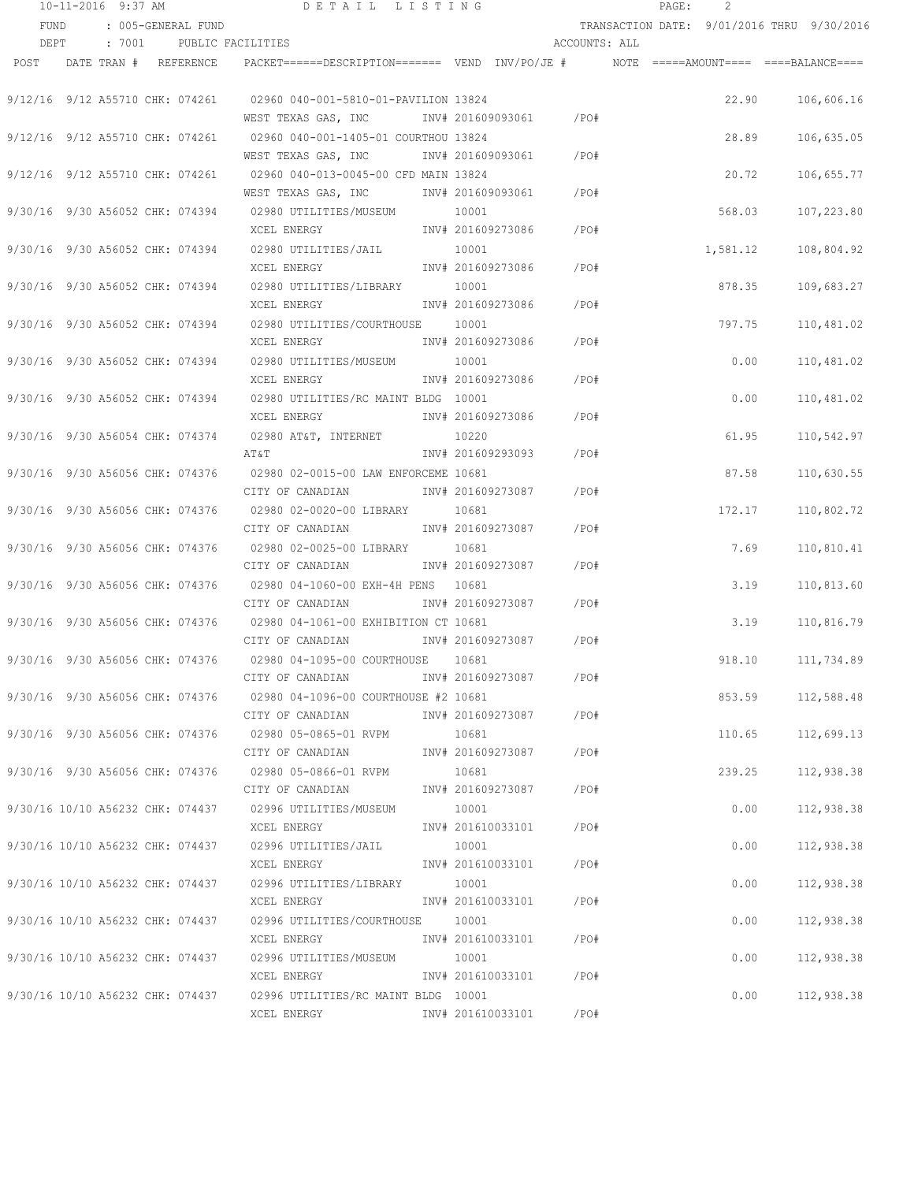|      | 10-11-2016 9:37 AM |        |                                  | DETAIL LISTING                                                                                    |                   |               | PAGE:                                      | 2        |            |
|------|--------------------|--------|----------------------------------|---------------------------------------------------------------------------------------------------|-------------------|---------------|--------------------------------------------|----------|------------|
| FUND |                    |        | : 005-GENERAL FUND               |                                                                                                   |                   |               | TRANSACTION DATE: 9/01/2016 THRU 9/30/2016 |          |            |
| DEPT |                    | : 7001 |                                  | PUBLIC FACILITIES                                                                                 |                   | ACCOUNTS: ALL |                                            |          |            |
| POST |                    |        | DATE TRAN # REFERENCE            | PACKET======DESCRIPTION========  VEND  INV/PO/JE #         NOTE  =====AMOUNT====  ====BALANCE==== |                   |               |                                            |          |            |
|      |                    |        |                                  |                                                                                                   |                   |               |                                            |          |            |
|      |                    |        | 9/12/16 9/12 A55710 CHK: 074261  | 02960 040-001-5810-01-PAVILION 13824                                                              |                   |               |                                            | 22.90    | 106,606.16 |
|      |                    |        |                                  | WEST TEXAS GAS, INC                                                                               | INV# 201609093061 | /PO#          |                                            |          |            |
|      |                    |        | 9/12/16 9/12 A55710 CHK: 074261  | 02960 040-001-1405-01 COURTHOU 13824                                                              |                   |               |                                            | 28.89    | 106,635.05 |
|      |                    |        |                                  | WEST TEXAS GAS, INC                                                                               | INV# 201609093061 | /PO#          |                                            |          |            |
|      |                    |        | 9/12/16 9/12 A55710 CHK: 074261  | 02960 040-013-0045-00 CFD MAIN 13824                                                              |                   |               |                                            | 20.72    | 106,655.77 |
|      |                    |        |                                  | WEST TEXAS GAS, INC                                                                               | INV# 201609093061 | /PO#          |                                            |          |            |
|      |                    |        | 9/30/16 9/30 A56052 CHK: 074394  | 02980 UTILITIES/MUSEUM                                                                            | 10001             |               |                                            | 568.03   | 107,223.80 |
|      |                    |        |                                  | XCEL ENERGY                                                                                       | INV# 201609273086 | /PO#          |                                            |          |            |
|      |                    |        | 9/30/16 9/30 A56052 CHK: 074394  | 02980 UTILITIES/JAIL                                                                              | 10001             |               |                                            | 1,581.12 | 108,804.92 |
|      |                    |        |                                  | XCEL ENERGY                                                                                       | INV# 201609273086 | /PO#          |                                            |          |            |
|      |                    |        | 9/30/16 9/30 A56052 CHK: 074394  | 02980 UTILITIES/LIBRARY                                                                           | 10001             |               |                                            | 878.35   | 109,683.27 |
|      |                    |        |                                  | XCEL ENERGY                                                                                       | INV# 201609273086 | /PO#          |                                            |          |            |
|      |                    |        | 9/30/16 9/30 A56052 CHK: 074394  | 02980 UTILITIES/COURTHOUSE 10001                                                                  |                   |               |                                            | 797.75   | 110,481.02 |
|      |                    |        |                                  | XCEL ENERGY                                                                                       | INV# 201609273086 | /PO#          |                                            |          |            |
|      |                    |        | 9/30/16 9/30 A56052 CHK: 074394  | 02980 UTILITIES/MUSEUM 10001                                                                      |                   |               |                                            | 0.00     | 110,481.02 |
|      |                    |        |                                  | XCEL ENERGY                                                                                       | INV# 201609273086 | /PO#          |                                            |          |            |
|      |                    |        |                                  | 9/30/16 9/30 A56052 CHK: 074394 02980 UTILITIES/RC MAINT BLDG 10001                               |                   |               |                                            | 0.00     | 110,481.02 |
|      |                    |        |                                  | XCEL ENERGY                                                                                       | INV# 201609273086 | /PO#          |                                            |          |            |
|      |                    |        | 9/30/16 9/30 A56054 CHK: 074374  | 02980 AT&T, INTERNET                                                                              | 10220             |               |                                            | 61.95    | 110,542.97 |
|      |                    |        |                                  | AT&T                                                                                              | INV# 201609293093 | /PO#          |                                            |          |            |
|      |                    |        | 9/30/16 9/30 A56056 CHK: 074376  | 02980 02-0015-00 LAW ENFORCEME 10681                                                              |                   |               |                                            | 87.58    | 110,630.55 |
|      |                    |        |                                  | CITY OF CANADIAN                                                                                  | INV# 201609273087 | /PO#          |                                            |          |            |
|      |                    |        | 9/30/16 9/30 A56056 CHK: 074376  | 02980 02-0020-00 LIBRARY                                                                          | 10681             |               |                                            | 172.17   | 110,802.72 |
|      |                    |        |                                  | CITY OF CANADIAN                                                                                  | INV# 201609273087 | /PO#          |                                            |          |            |
|      |                    |        | 9/30/16 9/30 A56056 CHK: 074376  | 02980 02-0025-00 LIBRARY                                                                          | 10681             |               |                                            | 7.69     | 110,810.41 |
|      |                    |        |                                  | CITY OF CANADIAN                                                                                  | INV# 201609273087 | /PO#          |                                            |          |            |
|      |                    |        | 9/30/16 9/30 A56056 CHK: 074376  | 02980 04-1060-00 EXH-4H PENS 10681                                                                |                   |               |                                            | 3.19     | 110,813.60 |
|      |                    |        |                                  | CITY OF CANADIAN                                                                                  | INV# 201609273087 | /PO#          |                                            |          |            |
|      |                    |        | 9/30/16 9/30 A56056 CHK: 074376  | 02980 04-1061-00 EXHIBITION CT 10681                                                              |                   |               |                                            | 3.19     | 110,816.79 |
|      |                    |        |                                  | CITY OF CANADIAN                                                                                  | INV# 201609273087 | /PO#          |                                            |          |            |
|      |                    |        | 9/30/16 9/30 A56056 CHK: 074376  | 02980 04-1095-00 COURTHOUSE                                                                       | 10681             |               |                                            | 918.10   | 111,734.89 |
|      |                    |        |                                  | CITY OF CANADIAN                                                                                  | INV# 201609273087 | /PO#          |                                            |          |            |
|      |                    |        | 9/30/16 9/30 A56056 CHK: 074376  | 02980 04-1096-00 COURTHOUSE #2 10681                                                              |                   |               |                                            | 853.59   | 112,588.48 |
|      |                    |        |                                  | CITY OF CANADIAN                                                                                  | INV# 201609273087 | /PO#          |                                            |          |            |
|      |                    |        | 9/30/16 9/30 A56056 CHK: 074376  | 02980 05-0865-01 RVPM                                                                             | 10681             |               |                                            | 110.65   | 112,699.13 |
|      |                    |        |                                  | CITY OF CANADIAN                                                                                  | INV# 201609273087 | /PO#          |                                            |          |            |
|      |                    |        | 9/30/16 9/30 A56056 CHK: 074376  | 02980 05-0866-01 RVPM                                                                             | 10681             |               |                                            | 239.25   | 112,938.38 |
|      |                    |        |                                  | CITY OF CANADIAN                                                                                  | INV# 201609273087 | /PO#          |                                            |          |            |
|      |                    |        | 9/30/16 10/10 A56232 CHK: 074437 | 02996 UTILITIES/MUSEUM                                                                            | 10001             |               |                                            | 0.00     | 112,938.38 |
|      |                    |        |                                  | XCEL ENERGY                                                                                       | INV# 201610033101 | /PO#          |                                            |          |            |
|      |                    |        | 9/30/16 10/10 A56232 CHK: 074437 | 02996 UTILITIES/JAIL                                                                              | 10001             |               |                                            | 0.00     | 112,938.38 |
|      |                    |        |                                  | XCEL ENERGY                                                                                       | INV# 201610033101 | /PO#          |                                            |          |            |
|      |                    |        | 9/30/16 10/10 A56232 CHK: 074437 | 02996 UTILITIES/LIBRARY                                                                           | 10001             |               |                                            | 0.00     | 112,938.38 |
|      |                    |        |                                  | XCEL ENERGY                                                                                       | INV# 201610033101 | /PO#          |                                            |          |            |
|      |                    |        | 9/30/16 10/10 A56232 CHK: 074437 | 02996 UTILITIES/COURTHOUSE                                                                        | 10001             |               |                                            | 0.00     | 112,938.38 |
|      |                    |        |                                  | XCEL ENERGY                                                                                       | INV# 201610033101 | /PO#          |                                            |          |            |
|      |                    |        | 9/30/16 10/10 A56232 CHK: 074437 | 02996 UTILITIES/MUSEUM                                                                            | 10001             |               |                                            | 0.00     | 112,938.38 |
|      |                    |        |                                  | XCEL ENERGY                                                                                       | INV# 201610033101 | /PO#          |                                            |          |            |
|      |                    |        | 9/30/16 10/10 A56232 CHK: 074437 | 02996 UTILITIES/RC MAINT BLDG 10001                                                               |                   |               |                                            | 0.00     | 112,938.38 |
|      |                    |        |                                  | XCEL ENERGY                                                                                       | INV# 201610033101 | /PO#          |                                            |          |            |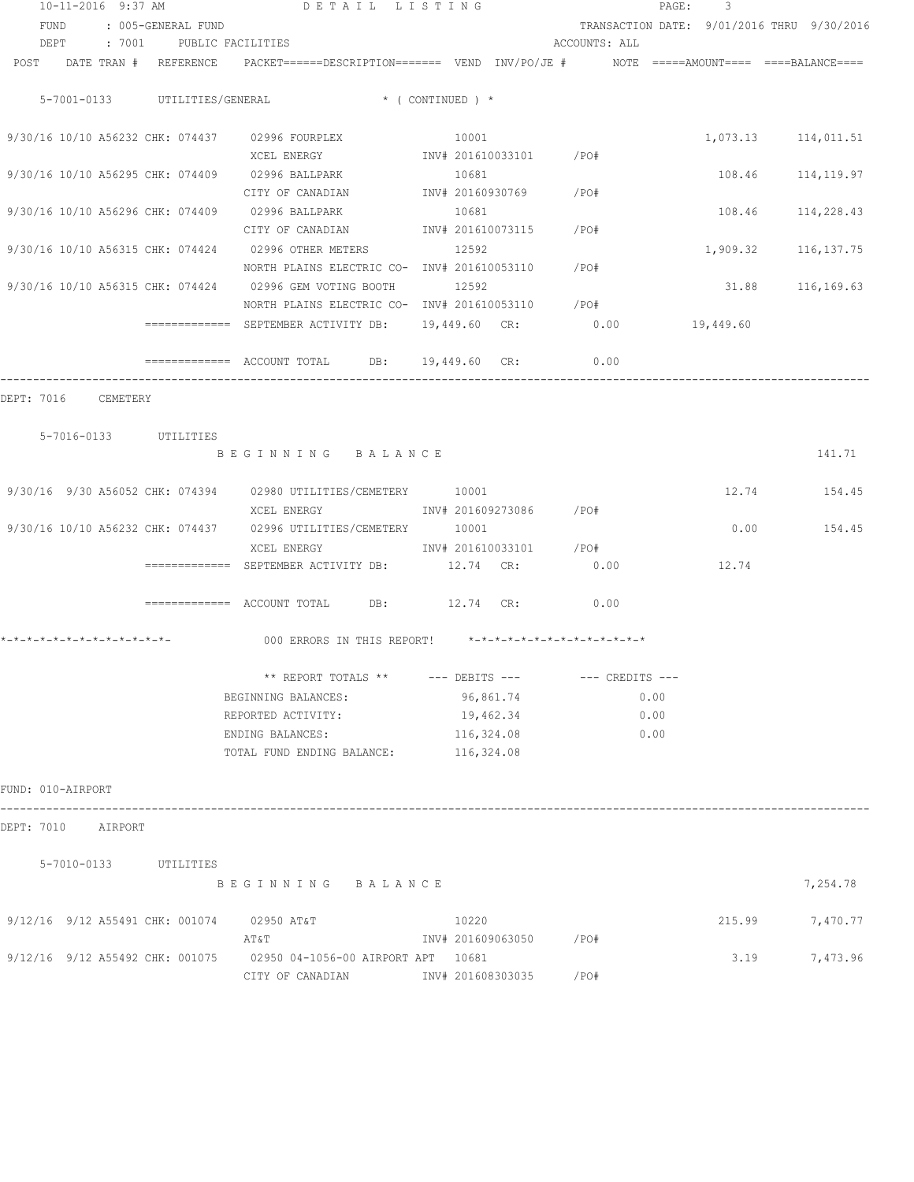| 10-11-2016 9:37 AM               |          |                          | DETAIL LISTING                                                                                             |                    |            |                         |                                | 3<br>PAGE: |                                            |
|----------------------------------|----------|--------------------------|------------------------------------------------------------------------------------------------------------|--------------------|------------|-------------------------|--------------------------------|------------|--------------------------------------------|
| FUND                             |          | : 005-GENERAL FUND       |                                                                                                            |                    |            |                         |                                |            | TRANSACTION DATE: 9/01/2016 THRU 9/30/2016 |
| DEPT                             |          | : 7001 PUBLIC FACILITIES |                                                                                                            |                    |            |                         | ACCOUNTS: ALL                  |            |                                            |
| POST                             |          |                          | DATE TRAN # REFERENCE PACKET======DESCRIPTION======= VEND INV/PO/JE # NOTE =====AMOUNT==== ====BALANCE==== |                    |            |                         |                                |            |                                            |
|                                  |          |                          |                                                                                                            |                    |            |                         |                                |            |                                            |
| 5-7001-0133 UTILITIES/GENERAL    |          |                          | $\star$ ( CONTINUED ) $\star$                                                                              |                    |            |                         |                                |            |                                            |
|                                  |          |                          |                                                                                                            |                    |            |                         |                                |            |                                            |
|                                  |          |                          | 9/30/16 10/10 A56232 CHK: 074437 02996 FOURPLEX                                                            |                    | 10001      |                         |                                |            | 1,073.13 114,011.51                        |
|                                  |          |                          | XCEL ENERGY                                                                                                |                    |            | INV# 201610033101 /PO#  |                                |            |                                            |
| 9/30/16 10/10 A56295 CHK: 074409 |          |                          | 02996 BALLPARK                                                                                             |                    | 10681      |                         |                                | 108.46     | 114,119.97                                 |
|                                  |          |                          | CITY OF CANADIAN                                                                                           |                    |            | INV# 20160930769 /PO#   |                                |            |                                            |
| 9/30/16 10/10 A56296 CHK: 074409 |          |                          | 02996 BALLPARK                                                                                             |                    | 10681      |                         |                                | 108.46     | 114,228.43                                 |
|                                  |          |                          | INV# 201610073115<br>CITY OF CANADIAN                                                                      |                    |            |                         | /PO#                           |            |                                            |
| 9/30/16 10/10 A56315 CHK: 074424 |          |                          | 02996 OTHER METERS                                                                                         |                    | 12592      |                         |                                | 1,909.32   | 116, 137. 75                               |
|                                  |          |                          | NORTH PLAINS ELECTRIC CO- INV# 201610053110                                                                |                    |            |                         | /PO#                           |            |                                            |
| 9/30/16 10/10 A56315 CHK: 074424 |          |                          | 02996 GEM VOTING BOOTH                                                                                     |                    | 12592      |                         |                                | 31.88      | 116,169.63                                 |
|                                  |          |                          | NORTH PLAINS ELECTRIC CO- INV# 201610053110 / PO#                                                          |                    |            |                         |                                |            |                                            |
|                                  |          |                          | ============= SEPTEMBER ACTIVITY DB:                                                                       |                    |            | 19,449.60 CR:           | 0.00                           | 19,449.60  |                                            |
|                                  |          |                          |                                                                                                            |                    |            |                         |                                |            |                                            |
|                                  |          |                          | ============= ACCOUNT TOTAL DB: 19,449.60 CR:                                                              |                    |            |                         | 0.00                           |            |                                            |
|                                  |          |                          |                                                                                                            |                    |            |                         |                                |            |                                            |
| DEPT: 7016                       | CEMETERY |                          |                                                                                                            |                    |            |                         |                                |            |                                            |
|                                  |          |                          |                                                                                                            |                    |            |                         |                                |            |                                            |
| 5-7016-0133 UTILITIES            |          |                          |                                                                                                            |                    |            |                         |                                |            | 141.71                                     |
|                                  |          |                          | BEGINNING BALANCE                                                                                          |                    |            |                         |                                |            |                                            |
|                                  |          |                          | 9/30/16 9/30 A56052 CHK: 074394 02980 UTILITIES/CEMETERY 10001                                             |                    |            |                         |                                | 12.74      | 154.45                                     |
|                                  |          |                          | XCEL ENERGY                                                                                                |                    |            | INV# 201609273086 /PO#  |                                |            |                                            |
| 9/30/16 10/10 A56232 CHK: 074437 |          |                          | 02996 UTILITIES/CEMETERY                                                                                   |                    | 10001      |                         |                                | 0.00       | 154.45                                     |
|                                  |          |                          | XCEL ENERGY                                                                                                |                    |            | INV# 201610033101       | $/$ PO#                        |            |                                            |
|                                  |          |                          | ============= SEPTEMBER ACTIVITY DB:                                                                       | 12.74 CR:          |            |                         | 0.00                           | 12.74      |                                            |
|                                  |          |                          |                                                                                                            |                    |            |                         |                                |            |                                            |
|                                  |          |                          | $\text{F}$ ============= ACCOUNT TOTAL DB: $12.74$ CR:                                                     |                    |            |                         | 0.00                           |            |                                            |
|                                  |          |                          |                                                                                                            |                    |            |                         |                                |            |                                            |
| *-*-*-*-*-*-*-*-*-*-*-*-*-*-     |          |                          | 000 ERRORS IN THIS REPORT!                                                                                 |                    |            |                         | *_*_*_*_*_*_*_*_*_*_*_*_*_*_*_ |            |                                            |
|                                  |          |                          |                                                                                                            |                    |            |                         |                                |            |                                            |
|                                  |          |                          | ** REPORT TOTALS **                                                                                        | $---$ DEBITS $---$ |            |                         | $---$ CREDITS $---$            |            |                                            |
|                                  |          |                          | BEGINNING BALANCES:                                                                                        |                    |            | 96,861.74               | 0.00                           |            |                                            |
|                                  |          |                          | REPORTED ACTIVITY:                                                                                         |                    |            | 19,462.34               | 0.00                           |            |                                            |
|                                  |          |                          | ENDING BALANCES:                                                                                           |                    | 116,324.08 |                         | 0.00                           |            |                                            |
|                                  |          |                          | TOTAL FUND ENDING BALANCE:                                                                                 |                    | 116,324.08 |                         |                                |            |                                            |
|                                  |          |                          |                                                                                                            |                    |            |                         |                                |            |                                            |
| FUND: 010-AIRPORT                |          |                          |                                                                                                            |                    |            |                         |                                |            |                                            |
|                                  |          |                          |                                                                                                            |                    |            |                         |                                |            |                                            |
| DEPT: 7010 AIRPORT               |          |                          |                                                                                                            |                    |            |                         |                                |            |                                            |
|                                  |          |                          |                                                                                                            |                    |            |                         |                                |            |                                            |
| 5-7010-0133 UTILITIES            |          |                          |                                                                                                            |                    |            |                         |                                |            |                                            |
|                                  |          |                          | BEGINNING BALANCE                                                                                          |                    |            |                         |                                |            | 7,254.78                                   |
|                                  |          |                          |                                                                                                            |                    |            |                         |                                |            |                                            |
| 9/12/16 9/12 A55491 CHK: 001074  |          |                          | 02950 AT&T                                                                                                 |                    | 10220      |                         |                                | 215.99     | 7,470.77                                   |
|                                  |          |                          | AT&T                                                                                                       |                    |            | INV# 201609063050 / PO# |                                |            |                                            |
| 9/12/16 9/12 A55492 CHK: 001075  |          |                          | 02950 04-1056-00 AIRPORT APT 10681                                                                         |                    |            |                         |                                | 3.19       | 7,473.96                                   |
|                                  |          |                          | CITY OF CANADIAN                                                                                           |                    |            | INV# 201608303035       | /PO#                           |            |                                            |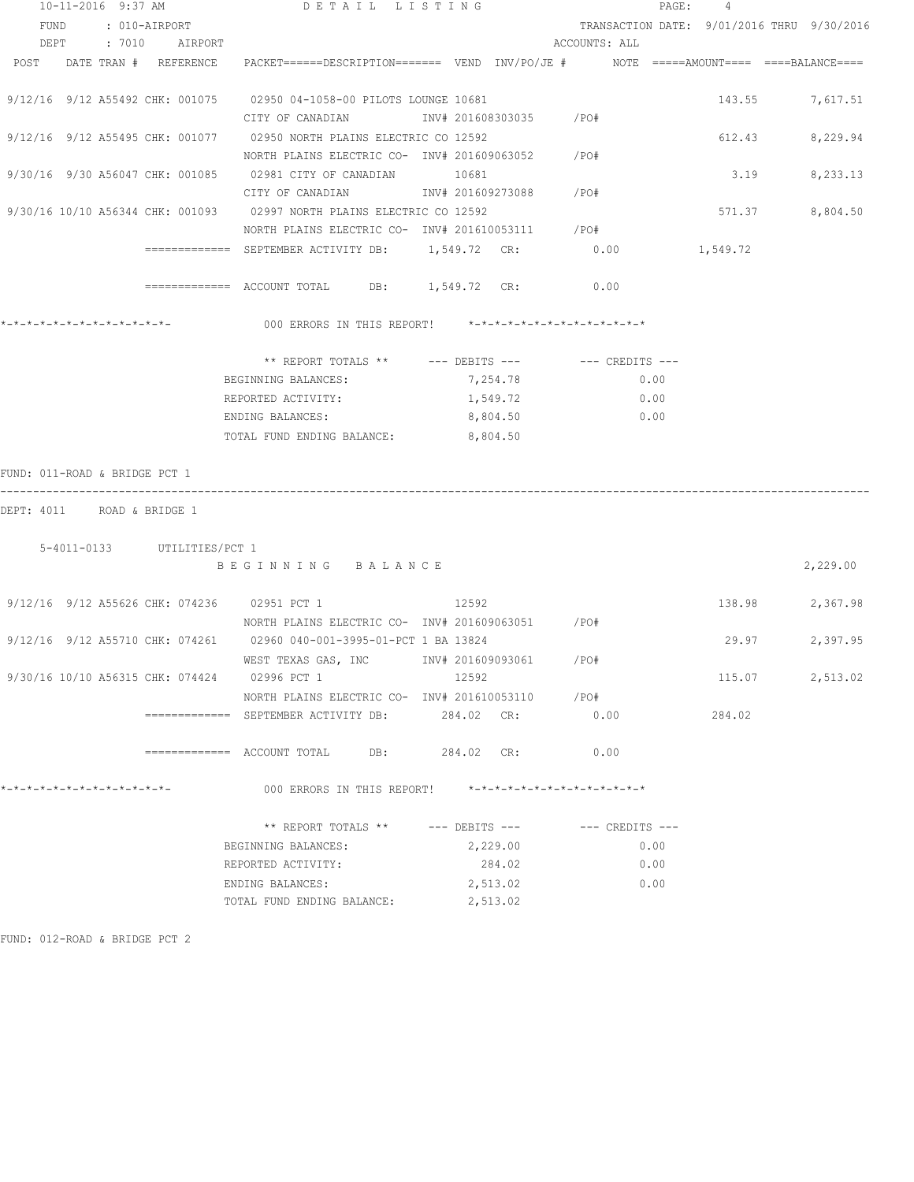|                               | 10-11-2016 9:37 AM |                             | DETAIL LISTING                                                                                       |       |                      |                        |                                            | PAGE: 4 |          |        |          |
|-------------------------------|--------------------|-----------------------------|------------------------------------------------------------------------------------------------------|-------|----------------------|------------------------|--------------------------------------------|---------|----------|--------|----------|
|                               | FUND : 010-AIRPORT |                             |                                                                                                      |       |                      |                        | TRANSACTION DATE: 9/01/2016 THRU 9/30/2016 |         |          |        |          |
|                               |                    | DEPT : 7010 AIRPORT         |                                                                                                      |       |                      |                        | ACCOUNTS: ALL                              |         |          |        |          |
| POST DATE TRAN # REFERENCE    |                    |                             | PACKET======DESCRIPTION========  VEND   INV/PO/JE #           NOTE  =====AMOUNT====  ====BALANCE==== |       |                      |                        |                                            |         |          |        |          |
|                               |                    |                             |                                                                                                      |       |                      |                        |                                            |         |          |        |          |
|                               |                    |                             | 9/12/16 9/12 A55492 CHK: 001075 02950 04-1058-00 PILOTS LOUNGE 10681                                 |       |                      |                        |                                            |         |          | 143.55 | 7,617.51 |
|                               |                    |                             | CITY OF CANADIAN                                                                                     |       |                      | INV# 201608303035 /PO# |                                            |         |          |        |          |
|                               |                    |                             | 9/12/16 9/12 A55495 CHK: 001077 02950 NORTH PLAINS ELECTRIC CO 12592                                 |       |                      |                        |                                            |         |          | 612.43 | 8,229.94 |
|                               |                    |                             | NORTH PLAINS ELECTRIC CO- INV# 201609063052 / PO#                                                    |       |                      |                        |                                            |         |          |        |          |
|                               |                    |                             | 9/30/16 9/30 A56047 CHK: 001085 02981 CITY OF CANADIAN 10681                                         |       |                      |                        |                                            |         |          | 3.19   | 8,233.13 |
|                               |                    |                             | CITY OF CANADIAN MW# 201609273088 /PO#                                                               |       |                      |                        |                                            |         |          |        |          |
|                               |                    |                             | 9/30/16 10/10 A56344 CHK: 001093 02997 NORTH PLAINS ELECTRIC CO 12592                                |       |                      |                        |                                            |         |          | 571.37 | 8,804.50 |
|                               |                    |                             | NORTH PLAINS ELECTRIC CO- INV# 201610053111 / PO#                                                    |       |                      |                        |                                            |         |          |        |          |
|                               |                    |                             |                                                                                                      |       |                      |                        | 0.00                                       |         | 1,549.72 |        |          |
|                               |                    |                             |                                                                                                      |       |                      |                        |                                            |         |          |        |          |
|                               |                    |                             | ============= ACCOUNT TOTAL DB: 1,549.72 CR: 0.00                                                    |       |                      |                        |                                            |         |          |        |          |
|                               |                    |                             |                                                                                                      |       |                      |                        |                                            |         |          |        |          |
|                               |                    |                             | 000 ERRORS IN THIS REPORT! $*-*-*-*-*-*-*-*-*-*-*-*-*-*-**$                                          |       |                      |                        |                                            |         |          |        |          |
|                               |                    |                             |                                                                                                      |       |                      |                        |                                            |         |          |        |          |
|                               |                    |                             | ** REPORT TOTALS ** --- DEBITS --- -- -- CREDITS ---                                                 |       |                      |                        |                                            |         |          |        |          |
|                               |                    |                             | BEGINNING BALANCES:                                                                                  |       | 7,254.78             |                        | 0.00                                       |         |          |        |          |
|                               |                    |                             | REPORTED ACTIVITY:                                                                                   |       | 1,549.72             |                        |                                            | 0.00    |          |        |          |
|                               |                    |                             | ENDING BALANCES:                                                                                     |       | 8,804.50             |                        |                                            | 0.00    |          |        |          |
|                               |                    |                             | TOTAL FUND ENDING BALANCE:                                                                           |       | 8,804.50             |                        |                                            |         |          |        |          |
|                               |                    |                             |                                                                                                      |       |                      |                        |                                            |         |          |        |          |
| FUND: 011-ROAD & BRIDGE PCT 1 |                    |                             |                                                                                                      |       |                      |                        |                                            |         |          |        |          |
|                               |                    |                             |                                                                                                      |       |                      |                        |                                            |         |          |        |          |
| DEPT: 4011 ROAD & BRIDGE 1    |                    |                             |                                                                                                      |       |                      |                        |                                            |         |          |        |          |
|                               |                    |                             |                                                                                                      |       |                      |                        |                                            |         |          |        |          |
|                               |                    | 5-4011-0133 UTILITIES/PCT 1 |                                                                                                      |       |                      |                        |                                            |         |          |        |          |
|                               |                    |                             | BEGINNING BALANCE                                                                                    |       |                      |                        |                                            |         |          |        | 2,229.00 |
|                               |                    |                             |                                                                                                      |       |                      |                        |                                            |         |          |        |          |
|                               |                    |                             | 9/12/16 9/12 A55626 CHK: 074236 02951 PCT 1                                                          | 12592 |                      |                        |                                            |         |          | 138.98 | 2,367.98 |
|                               |                    |                             | NORTH PLAINS ELECTRIC CO- INV# 201609063051 / PO#                                                    |       |                      |                        |                                            |         |          |        |          |
|                               |                    |                             | 9/12/16 9/12 A55710 CHK: 074261 02960 040-001-3995-01-PCT 1 BA 13824                                 |       |                      |                        |                                            |         |          | 29.97  | 2,397.95 |
|                               |                    |                             | WEST TEXAS GAS, INC METALL 201609093061                                                              |       |                      |                        | /PO#                                       |         |          |        |          |
|                               |                    |                             | 9/30/16 10/10 A56315 CHK: 074424 02996 PCT 1                                                         | 12592 |                      |                        |                                            |         |          | 115.07 | 2,513.02 |
|                               |                    |                             | NORTH PLAINS ELECTRIC CO- INV# 201610053110                                                          |       |                      |                        | /PO#                                       |         |          |        |          |
|                               |                    |                             |                                                                                                      |       | 284.02 CR:           |                        | 0.00                                       |         | 284.02   |        |          |
|                               |                    |                             |                                                                                                      |       |                      |                        |                                            |         |          |        |          |
|                               |                    |                             |                                                                                                      |       |                      |                        | 0.00                                       |         |          |        |          |
|                               |                    |                             |                                                                                                      |       |                      |                        |                                            |         |          |        |          |
| *-*-*-*-*-*-*-*-*-*-*-*-*-*-  |                    |                             | 000 ERRORS IN THIS REPORT! *-*-*-*-*-*-*-*-*-*-*-*-*-*-                                              |       |                      |                        |                                            |         |          |        |          |
|                               |                    |                             |                                                                                                      |       |                      |                        |                                            |         |          |        |          |
|                               |                    |                             | ** REPORT TOTALS ** --- DEBITS --- -- -- CREDITS ---                                                 |       |                      |                        |                                            |         |          |        |          |
|                               |                    |                             | BEGINNING BALANCES:                                                                                  |       | 2,229.00             |                        |                                            | 0.00    |          |        |          |
|                               |                    |                             |                                                                                                      |       |                      |                        |                                            |         |          |        |          |
|                               |                    |                             |                                                                                                      |       |                      |                        |                                            |         |          |        |          |
|                               |                    |                             | REPORTED ACTIVITY:                                                                                   |       | 284.02               |                        |                                            | 0.00    |          |        |          |
|                               |                    |                             | ENDING BALANCES:<br>TOTAL FUND ENDING BALANCE:                                                       |       | 2,513.02<br>2,513.02 |                        |                                            | 0.00    |          |        |          |

FUND: 012-ROAD & BRIDGE PCT 2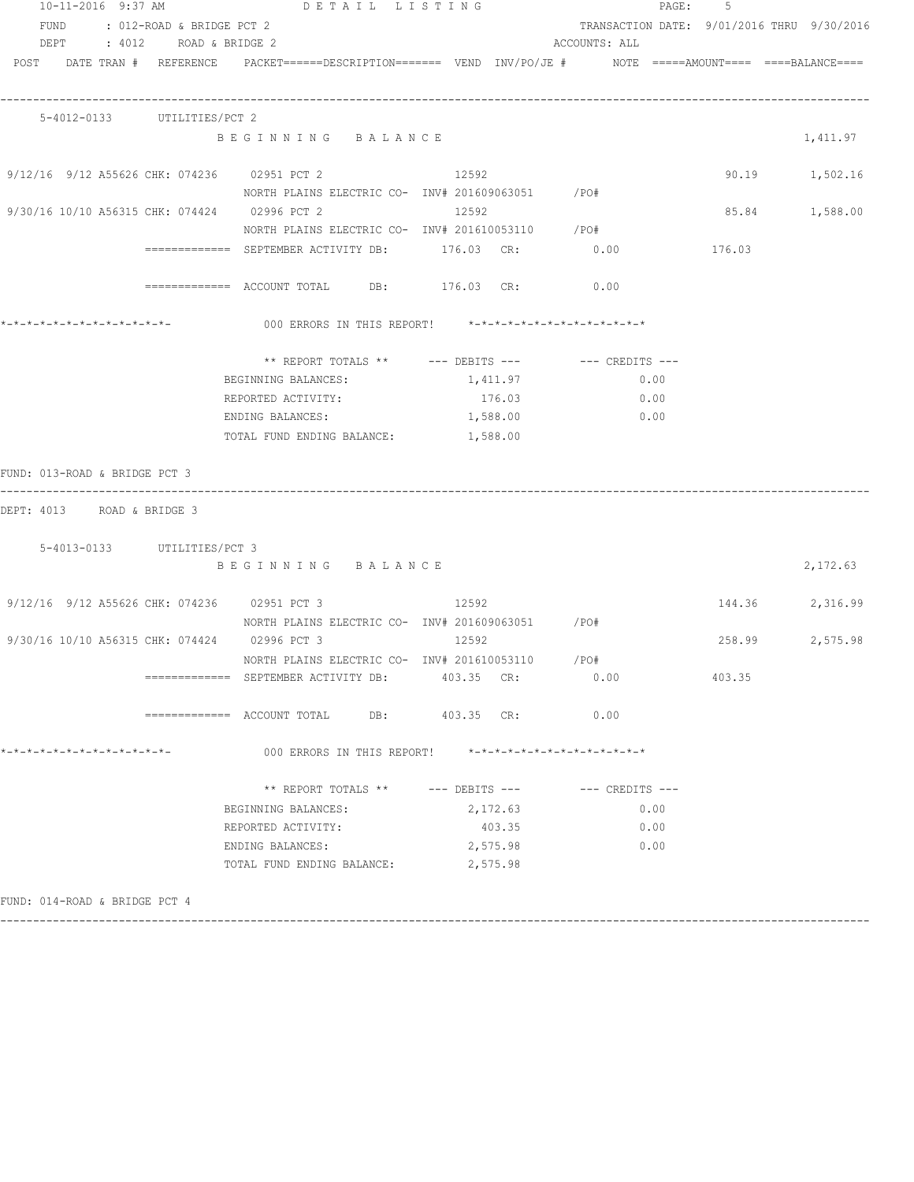| 10-11-2016 9:37 AM             | DETAIL LISTING                                                                                                  |            |                                                         | PAGE: 5 |                                            |
|--------------------------------|-----------------------------------------------------------------------------------------------------------------|------------|---------------------------------------------------------|---------|--------------------------------------------|
| FUND : 012-ROAD & BRIDGE PCT 2 |                                                                                                                 |            |                                                         |         | TRANSACTION DATE: 9/01/2016 THRU 9/30/2016 |
| DEPT : 4012 ROAD & BRIDGE 2    |                                                                                                                 |            | ACCOUNTS: ALL                                           |         |                                            |
|                                | POST DATE TRAN # REFERENCE PACKET======DESCRIPTION======= VEND INV/PO/JE # NOTE =====AMOUNT==== ====BALANCE==== |            |                                                         |         |                                            |
| 5-4012-0133 UTILITIES/PCT 2    |                                                                                                                 |            |                                                         |         |                                            |
|                                | BEGINNING BALANCE                                                                                               |            |                                                         |         | 1,411.97                                   |
|                                | 9/12/16 9/12 A55626 CHK: 074236 02951 PCT 2 12592                                                               |            |                                                         |         | 90.19 1,502.16                             |
|                                | NORTH PLAINS ELECTRIC CO- INV# 201609063051 / PO#                                                               |            |                                                         |         |                                            |
|                                | 9/30/16 10/10 A56315 CHK: 074424 02996 PCT 2 12592                                                              |            |                                                         |         | 85.84 1,588.00                             |
|                                | NORTH PLAINS ELECTRIC CO- INV# 201610053110 / PO#                                                               |            |                                                         |         |                                            |
|                                | ============ SEPTEMBER ACTIVITY DB: 176.03 CR: 0.00 176.03                                                      |            |                                                         |         |                                            |
|                                | ============ ACCOUNT TOTAL DB: 176.03 CR: 0.00                                                                  |            |                                                         |         |                                            |
|                                | 000 ERRORS IN THIS REPORT! $*-*-*-*-*-*-*-*-*-*-*-*-*-*-**$                                                     |            |                                                         |         |                                            |
|                                | ** REPORT TOTALS ** --- DEBITS --- -- CREDITS ---                                                               |            |                                                         |         |                                            |
|                                | BEGINNING BALANCES:                                                                                             | 1,411.97   | 0.00                                                    |         |                                            |
|                                | REPORTED ACTIVITY:                                                                                              | 176.03     | 0.00                                                    |         |                                            |
|                                | ENDING BALANCES:                                                                                                | 1,588.00   | 0.00                                                    |         |                                            |
|                                | TOTAL FUND ENDING BALANCE: 1,588.00                                                                             |            |                                                         |         |                                            |
| FUND: 013-ROAD & BRIDGE PCT 3  |                                                                                                                 |            |                                                         |         |                                            |
| DEPT: 4013 ROAD & BRIDGE 3     |                                                                                                                 |            |                                                         |         |                                            |
| 5-4013-0133 UTILITIES/PCT 3    |                                                                                                                 |            |                                                         |         |                                            |
|                                | BEGINNING BALANCE                                                                                               |            |                                                         |         | 2,172.63                                   |
|                                | $9/12/16$ $9/12$ A55626 CHK: 074236 02951 PCT 3 12592                                                           |            |                                                         |         | 144.36 2,316.99                            |
|                                | NORTH PLAINS ELECTRIC CO- INV# 201609063051 / PO#                                                               |            |                                                         |         |                                            |
|                                | 9/30/16 10/10 A56315 CHK: 074424 02996 PCT 3 12592                                                              |            |                                                         |         | 258.99<br>2,575.98                         |
|                                | NORTH PLAINS ELECTRIC CO- INV# 201610053110 / PO#                                                               |            |                                                         |         |                                            |
|                                |                                                                                                                 | 403.35 CR: | 0.00                                                    | 403.35  |                                            |
|                                |                                                                                                                 | 403.35 CR: | 0.00                                                    |         |                                            |
| *-*-*-*-*-*-*-*-*-*-*-*-*-*-   | 000 ERRORS IN THIS REPORT!                                                                                      |            | $* - * - * - * - * - * - * - * - * - * - * - * - * - *$ |         |                                            |
|                                | ** REPORT TOTALS ** $---$ DEBITS $---$                                                                          |            | --- CREDITS ---                                         |         |                                            |
|                                | BEGINNING BALANCES:                                                                                             | 2,172.63   |                                                         | 0.00    |                                            |
|                                | REPORTED ACTIVITY:                                                                                              | 403.35     |                                                         | 0.00    |                                            |
|                                | ENDING BALANCES:                                                                                                | 2,575.98   | 0.00                                                    |         |                                            |
|                                | TOTAL FUND ENDING BALANCE:                                                                                      | 2,575.98   |                                                         |         |                                            |
| FUND: 014-ROAD & BRIDGE PCT 4  |                                                                                                                 |            |                                                         |         |                                            |

------------------------------------------------------------------------------------------------------------------------------------